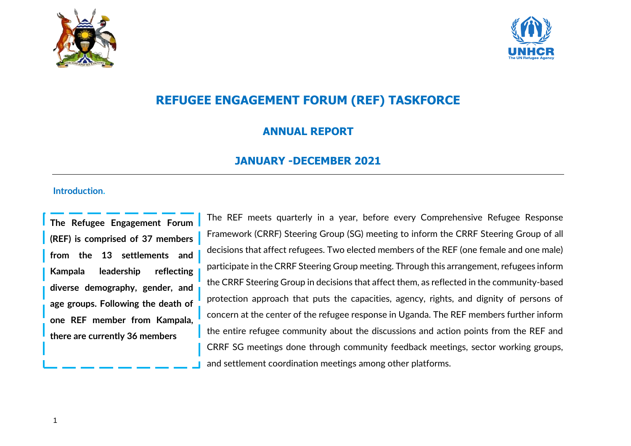



# **REFUGEE ENGAGEMENT FORUM (REF) TASKFORCE**

### **ANNUAL REPORT**

## **JANUARY -DECEMBER 2021**

#### **Introduction.**

**The Refugee Engagement Forum (REF) is comprised of 37 members from the 13 settlements and Kampala leadership reflecting diverse demography, gender, and age groups. Following the death of one REF member from Kampala, there are currently 36 members**

The REF meets quarterly in a year, before every Comprehensive Refugee Response Framework (CRRF) Steering Group (SG) meeting to inform the CRRF Steering Group of all decisions that affect refugees. Two elected members of the REF (one female and one male) participate in the CRRF Steering Group meeting. Through this arrangement, refugees inform the CRRF Steering Group in decisions that affect them, as reflected in the community-based protection approach that puts the capacities, agency, rights, and dignity of persons of concern at the center of the refugee response in Uganda. The REF members further inform the entire refugee community about the discussions and action points from the REF and CRRF SG meetings done through community feedback meetings, sector working groups, and settlement coordination meetings among other platforms.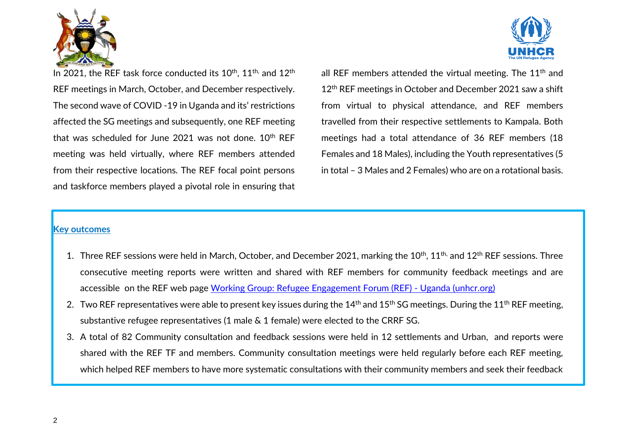



In 2021, the REF task force conducted its 10<sup>th</sup>, 11<sup>th,</sup> and 12<sup>th</sup> REF meetings in March, October, and December respectively. The second wave of COVID -19 in Uganda and its' restrictions affected the SG meetings and subsequently, one REF meeting that was scheduled for June 2021 was not done. 10<sup>th</sup> REF meeting was held virtually, where REF members attended from their respective locations. The REF focal point persons and taskforce members played a pivotal role in ensuring that all REF members attended the virtual meeting. The  $11<sup>th</sup>$  and 12<sup>th</sup> REF meetings in October and December 2021 saw a shift from virtual to physical attendance, and REF members travelled from their respective settlements to Kampala. Both meetings had a total attendance of 36 REF members (18 Females and 18 Males), including the Youth representatives (5 in total – 3 Males and 2 Females) who are on a rotational basis.

#### **Key outcomes**

- 1. Three REF sessions were held in March, October, and December 2021, marking the 10<sup>th</sup>, 11<sup>th,</sup> and 12<sup>th</sup> REF sessions. Three consecutive meeting reports were written and shared with REF members for community feedback meetings and are accessible on the REF web page [Working Group: Refugee Engagement Forum \(REF\) -](https://data2.unhcr.org/en/working-group/286?sv=0&geo=220) Uganda (unhcr.org)
- 2. Two REF representatives were able to present key issues during the  $14<sup>th</sup>$  and  $15<sup>th</sup>$  SG meetings. During the  $11<sup>th</sup>$  REF meeting, substantive refugee representatives (1 male & 1 female) were elected to the CRRF SG.
- 3. A total of 82 Community consultation and feedback sessions were held in 12 settlements and Urban, and reports were shared with the REF TF and members. Community consultation meetings were held regularly before each REF meeting, which helped REF members to have more systematic consultations with their community members and seek their feedback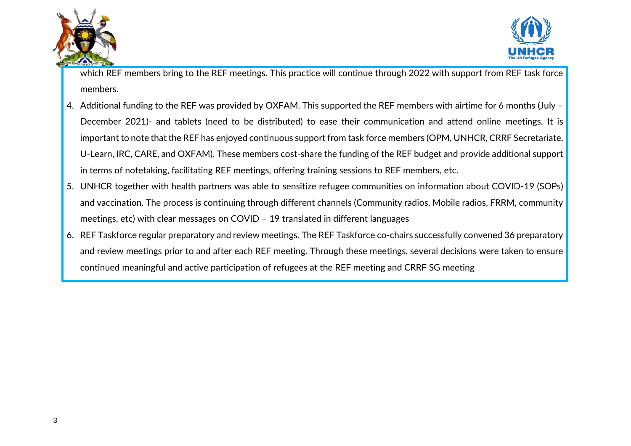



which REF members bring to the REF meetings. This practice will continue through 2022 with support from REF task force members.

- 4. Additional funding to the REF was provided by OXFAM. This supported the REF members with airtime for 6 months (July December 2021)- and tablets (need to be distributed) to ease their communication and attend online meetings. It is important to note that the REF has enjoyed continuous support from task force members (OPM, UNHCR, CRRF Secretariate, U-Learn, IRC, CARE, and OXFAM). These members cost-share the funding of the REF budget and provide additional support in terms of notetaking, facilitating REF meetings, offering training sessions to REF members, etc.
- 5. UNHCR together with health partners was able to sensitize refugee communities on information about COVID-19 (SOPs) and vaccination. The process is continuing through different channels (Community radios, Mobile radios, FRRM, community meetings, etc) with clear messages on COVID – 19 translated in different languages
- 6. REF Taskforce regular preparatory and review meetings. The REF Taskforce co-chairs successfully convened 36 preparatory and review meetings prior to and after each REF meeting. Through these meetings, several decisions were taken to ensure continued meaningful and active participation of refugees at the REF meeting and CRRF SG meeting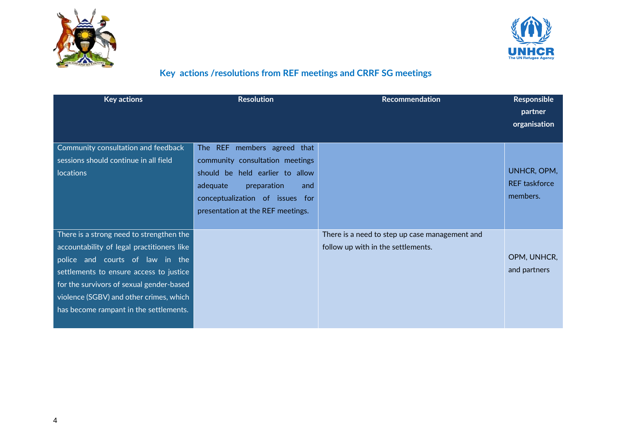



## **Key actions /resolutions from REF meetings and CRRF SG meetings**

| <b>Key actions</b>                         | <b>Resolution</b>                 | Recommendation                                 | <b>Responsible</b><br>partner<br>organisation |
|--------------------------------------------|-----------------------------------|------------------------------------------------|-----------------------------------------------|
| Community consultation and feedback        | The REF members agreed that       |                                                |                                               |
| sessions should continue in all field      | community consultation meetings   |                                                |                                               |
| locations                                  | should be held earlier to allow   |                                                | UNHCR, OPM,                                   |
|                                            | adequate<br>preparation<br>and    |                                                | <b>REF</b> taskforce                          |
|                                            | conceptualization of issues for   |                                                | members.                                      |
|                                            | presentation at the REF meetings. |                                                |                                               |
|                                            |                                   |                                                |                                               |
| There is a strong need to strengthen the   |                                   | There is a need to step up case management and |                                               |
| accountability of legal practitioners like |                                   | follow up with in the settlements.             |                                               |
| police and courts of law in the            |                                   |                                                | OPM, UNHCR,                                   |
| settlements to ensure access to justice    |                                   |                                                | and partners                                  |
| for the survivors of sexual gender-based   |                                   |                                                |                                               |
| violence (SGBV) and other crimes, which    |                                   |                                                |                                               |
| has become rampant in the settlements.     |                                   |                                                |                                               |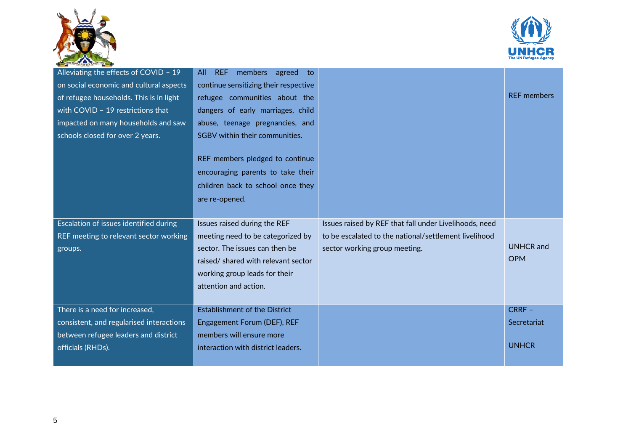



| Alleviating the effects of COVID - 19    | All REF<br>members agreed<br>to:      |                                                        |                    |
|------------------------------------------|---------------------------------------|--------------------------------------------------------|--------------------|
| on social economic and cultural aspects  | continue sensitizing their respective |                                                        |                    |
| of refugee households. This is in light  | refugee communities about the         |                                                        | <b>REF</b> members |
| with COVID - 19 restrictions that        | dangers of early marriages, child     |                                                        |                    |
| impacted on many households and saw      | abuse, teenage pregnancies, and       |                                                        |                    |
| schools closed for over 2 years.         | SGBV within their communities.        |                                                        |                    |
|                                          |                                       |                                                        |                    |
|                                          | REF members pledged to continue       |                                                        |                    |
|                                          | encouraging parents to take their     |                                                        |                    |
|                                          | children back to school once they     |                                                        |                    |
|                                          | are re-opened.                        |                                                        |                    |
|                                          |                                       |                                                        |                    |
|                                          |                                       |                                                        |                    |
| Escalation of issues identified during   | Issues raised during the REF          | Issues raised by REF that fall under Livelihoods, need |                    |
| REF meeting to relevant sector working   | meeting need to be categorized by     | to be escalated to the national/settlement livelihood  |                    |
| groups.                                  | sector. The issues can then be        | sector working group meeting.                          | <b>UNHCR</b> and   |
|                                          | raised/ shared with relevant sector   |                                                        | <b>OPM</b>         |
|                                          | working group leads for their         |                                                        |                    |
|                                          | attention and action.                 |                                                        |                    |
|                                          |                                       |                                                        |                    |
| There is a need for increased,           | <b>Establishment of the District</b>  |                                                        | $CRRF -$           |
| consistent, and regularised interactions | Engagement Forum (DEF), REF           |                                                        | Secretariat        |
| between refugee leaders and district     | members will ensure more              |                                                        |                    |
| officials (RHDs).                        | interaction with district leaders.    |                                                        | <b>UNHCR</b>       |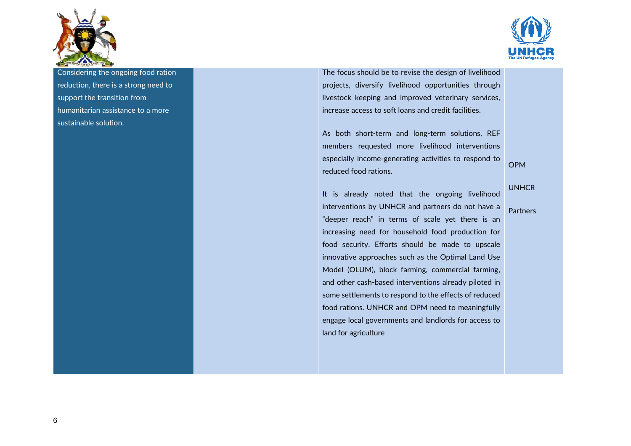



Considering the ongoing food ration reduction, there is a strong need to support the transition from humanitarian assistance to a more sustainable solution.

The focus should be to revise the design of livelihood projects, diversify livelihood opportunities through livestock keeping and improved veterinary services, increase access to soft loans and credit facilities.

As both short-term and long-term solutions, REF members requested more livelihood interventions especially income-generating activities to respond to reduced food rations.

It is already noted that the ongoing livelihood interventions by UNHCR and partners do not have a "deeper reach" in terms of scale yet there is an increasing need for household food production for food security. Efforts should be made to upscale innovative approaches such as the Optimal Land Use Model (OLUM), block farming, commercial farming, and other cash-based interventions already piloted in some settlements to respond to the effects of reduced food rations. UNHCR and OPM need to meaningfully engage local governments and landlords for access to land for agriculture

UNHCR

OPM

Partners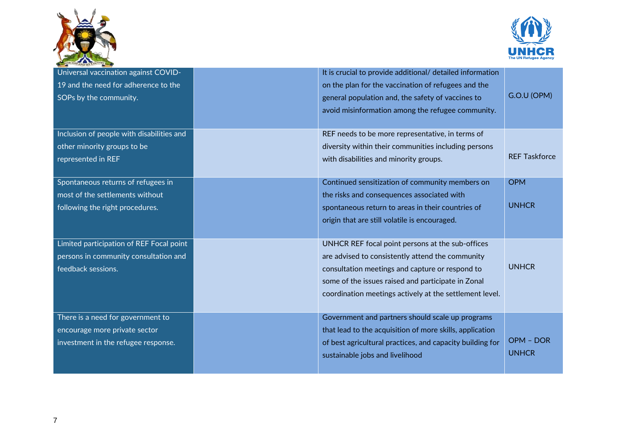



| Universal vaccination against COVID-      | It is crucial to provide additional/ detailed information |                      |
|-------------------------------------------|-----------------------------------------------------------|----------------------|
| 19 and the need for adherence to the      | on the plan for the vaccination of refugees and the       |                      |
| SOPs by the community.                    | general population and, the safety of vaccines to         | G.O.U (OPM)          |
|                                           | avoid misinformation among the refugee community.         |                      |
|                                           |                                                           |                      |
| Inclusion of people with disabilities and | REF needs to be more representative, in terms of          |                      |
| other minority groups to be               | diversity within their communities including persons      |                      |
| represented in REF                        | with disabilities and minority groups.                    | <b>REF Taskforce</b> |
|                                           |                                                           |                      |
| Spontaneous returns of refugees in        | Continued sensitization of community members on           | <b>OPM</b>           |
| most of the settlements without           | the risks and consequences associated with                |                      |
| following the right procedures.           | spontaneous return to areas in their countries of         | <b>UNHCR</b>         |
|                                           | origin that are still volatile is encouraged.             |                      |
|                                           |                                                           |                      |
| Limited participation of REF Focal point  | UNHCR REF focal point persons at the sub-offices          |                      |
| persons in community consultation and     | are advised to consistently attend the community          |                      |
| feedback sessions.                        | consultation meetings and capture or respond to           | <b>UNHCR</b>         |
|                                           | some of the issues raised and participate in Zonal        |                      |
|                                           | coordination meetings actively at the settlement level.   |                      |
|                                           |                                                           |                      |
| There is a need for government to         | Government and partners should scale up programs          |                      |
| encourage more private sector             | that lead to the acquisition of more skills, application  |                      |
| investment in the refugee response.       | of best agricultural practices, and capacity building for | OPM - DOR            |
|                                           | sustainable jobs and livelihood                           | <b>UNHCR</b>         |
|                                           |                                                           |                      |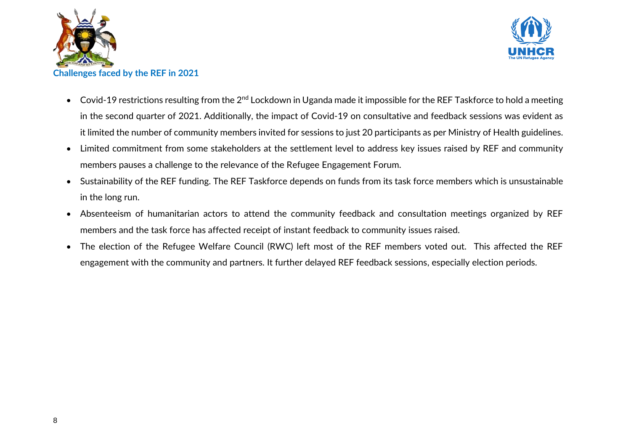



- Covid-19 restrictions resulting from the  $2^{nd}$  Lockdown in Uganda made it impossible for the REF Taskforce to hold a meeting in the second quarter of 2021. Additionally, the impact of Covid-19 on consultative and feedback sessions was evident as it limited the number of community members invited for sessions to just 20 participants as per Ministry of Health guidelines.
- Limited commitment from some stakeholders at the settlement level to address key issues raised by REF and community members pauses a challenge to the relevance of the Refugee Engagement Forum.
- Sustainability of the REF funding. The REF Taskforce depends on funds from its task force members which is unsustainable in the long run.
- Absenteeism of humanitarian actors to attend the community feedback and consultation meetings organized by REF members and the task force has affected receipt of instant feedback to community issues raised.
- The election of the Refugee Welfare Council (RWC) left most of the REF members voted out. This affected the REF engagement with the community and partners. It further delayed REF feedback sessions, especially election periods.